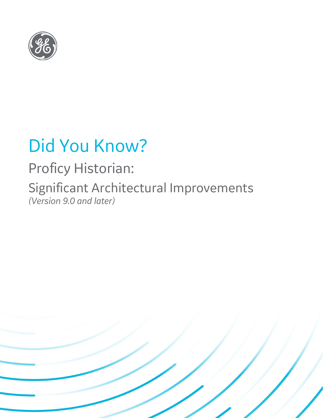

# Did You Know?

## Proficy Historian:

Significant Architectural Improvements *(Version 9.0 and later)*

 $\blacksquare$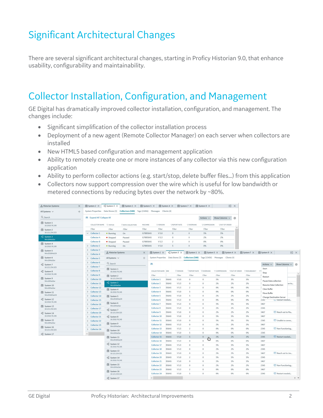## Significant Architectural Changes

There are several significant architectural changes, starting in Proficy Historian 9.0, that enhance usability, configurability and maintainability.

### Collector Installation, Configuration, and Management

GE Digital has dramatically improved collector installation, configuration, and management. The changes include:

- Significant simplification of the collector installation process
- Deployment of a new agent (Remote Collector Manager) on each server when collectors are installed
- New HTML5 based configuration and management application
- Ability to remotely create one or more instances of any collector via this new configuration application
- Ability to perform collector actions (e.g. start/stop, delete buffer files…) from this application
- Collectors now support compression over the wire which is useful for low bandwidth or metered connections by reducing bytes over the network by ~80%.

| & Historian Systems                                  | $\times$ | <b>■</b> System 2 ×          | $\frac{1}{2}$ System 3 $\times$    | <b>■</b> System 1 ×                                                                  | 目 System 5 X |                     | 图 System 4 X                     |                     | <b>■</b> System 7 ×                                             | <b>■</b> System 9 × |                              | $E \times$    |              |                               |                                                       |                 |         |
|------------------------------------------------------|----------|------------------------------|------------------------------------|--------------------------------------------------------------------------------------|--------------|---------------------|----------------------------------|---------------------|-----------------------------------------------------------------|---------------------|------------------------------|---------------|--------------|-------------------------------|-------------------------------------------------------|-----------------|---------|
| All Systems $\vee$                                   | $^{+}$   |                              |                                    | System Properties Data Stores (3) Collectors (500) Tags (13456) Messages Clients (4) |              |                     |                                  |                     |                                                                 |                     |                              |               |              |                               |                                                       |                 |         |
| Q Search                                             |          | 66 Expand All   Collapse All |                                    |                                                                                      |              |                     |                                  |                     |                                                                 | Actions $\vee$      | Show Columns $\sqrt{}$       | €             |              |                               |                                                       |                 |         |
| e System 1<br>10.2010.76.245                         |          |                              | COLLECTOR NAME <b>Y</b> STATUS     | Y DATA COLLECTION                                                                    | MACHINE      | VVERSION            |                                  | <b>YREPORT RATE</b> | YOVERRUNS                                                       | V COMPRESSION       | YOUT OF ORDER                |               |              |                               |                                                       |                 |         |
| System 2                                             |          | Filter                       | Filter                             | Filter                                                                               | Filter       | Filter              |                                  | Filter              | Filter                                                          | Filter              | Filter                       |               |              |                               |                                                       |                 |         |
| 10.121.254.325                                       |          | $\vee$ Collector 1           | • Running                          | On                                                                                   | G78856AS     | V <sub>5.0</sub>    | $\circ$                          |                     | $\circ$                                                         | 5%                  | 5%                           |               |              |                               |                                                       |                 |         |
| <sup>o</sup> l <sub>2</sub> System 3<br>Win10HistSer |          | <b>Collector A</b>           | • Stopped                          | Paused                                                                               | G78856AS     | V <sub>5.3</sub>    | $\circ$                          |                     | $\circ$                                                         | 2%                  | 2%                           |               |              |                               |                                                       |                 |         |
| <b>B</b> System 4                                    |          | Collector B                  | • Stopped                          | Paused                                                                               | G78856AS     | V 5.3               | $\overline{2}$                   |                     | $\circ$                                                         | 0%                  | 0%                           |               |              |                               |                                                       |                 |         |
| 10.2010.76.245                                       |          | > Collector 2                | • Running                          | On                                                                                   | G78856AS     | V <sub>5.0</sub>    | $\overline{5}$                   |                     | $\circ$                                                         | 0%                  | 0%                           |               |              |                               |                                                       |                 |         |
| System 5                                             |          | Collector 3<br>$\rightarrow$ | <sub>စ</sub> ိန္ Historian Systems |                                                                                      | $\times$     |                     | $\frac{10}{9}$ System 3 $\times$ |                     | System 1 X                                                      |                     | 图 System 5 X<br>图 System 4 X |               | 图 System 7 X | 图 System 9 X                  |                                                       |                 |         |
| Win2016Hist24                                        |          | Collector 4<br>$\rightarrow$ |                                    |                                                                                      |              | System 2 X          |                                  |                     |                                                                 |                     |                              |               |              |                               |                                                       | $\Box$ $\times$ |         |
| System 6<br>Win10HistSer                             |          | > Collector 5                | All Systems V                      |                                                                                      | $^{+}$       |                     |                                  |                     | System Properties Data Stores (3) Collectors (500) Tags (13456) |                     | Messages Clients (4)         |               |              |                               |                                                       |                 |         |
| $\frac{10}{10}$ System 7                             |          | > Collector 6                | Q Search                           |                                                                                      |              |                     | $\theta$ <sup>6</sup>            |                     |                                                                 |                     |                              |               |              | Actions $\vee$                | Show Columns $\sqrt{}$                                |                 | €       |
| 10.121.254.325                                       |          | > Collector 7                |                                    |                                                                                      |              |                     |                                  |                     |                                                                 |                     |                              |               |              | Start                         |                                                       |                 |         |
| $\frac{10}{10}$ System 8<br>10.2010.76.245           |          | > Collector 8                | System 1<br>10.2010.76.245         |                                                                                      |              | COLLECTOR NAME HINE |                                  | YVERSION            | <b>YREPORT RATE</b>                                             | VOVERRUNS           | Y COMPRESSION                | YOUT OF ORDER | Y REDUNDANCY |                               |                                                       |                 |         |
|                                                      |          | > Collector 9                | 目 System 2                         |                                                                                      |              | Filter              |                                  | Filter              | Filter                                                          | Filter              | Filter                       | Filter        | Filter       | Stop<br>Restart               |                                                       |                 |         |
| 图 System 9                                           |          | > Collector 10               |                                    | 10.121.254.325                                                                       |              | Collector 1         | <b>B56AS</b>                     | V <sub>5.0</sub>    | $\circ$                                                         | $\circ$             | 5%                           | 5%            | 5%           | Pause Data collection         |                                                       |                 |         |
| Win10HistSer                                         |          | > Collector 11               |                                    | $\frac{10}{10}$ System 3                                                             |              | Collector 2         | <b>B56AS</b>                     | V <sub>5.3</sub>    | $\circ$                                                         | $\circ$             | 2%                           | 2%            | 2%           | <b>Resume Data Collection</b> |                                                       | ue to           |         |
| System 10<br>Win10HistSer                            |          | > Collector 12               | Win10HistSer                       |                                                                                      |              | Collector 3         | <b>B56AS</b>                     | V 5.3               | $\overline{c}$                                                  | $\circ$             | 0%                           | 0%            | 0%           | Clear Buffer                  |                                                       |                 |         |
| e System 11                                          |          | > Collector 13               | System 4<br>10.2010.76.245         |                                                                                      |              | <b>Collector 4</b>  | <b>B56AS</b>                     | V 5.0               | 5                                                               | $\circ$             | 0%                           | 0%            | 0%           | Move Buffer                   |                                                       |                 |         |
| Win2016Hist24                                        |          | > Collector 14               | System 5                           |                                                                                      |              | <b>Collector 5</b>  | <b>B56AS</b>                     | V <sub>5.0</sub>    | 5                                                               | $\circ$             | 2%                           | 2%            | 2%           |                               |                                                       |                 |         |
| $\frac{10}{10}$ System 12                            |          | > Collector 15               | Win2016Hist24                      |                                                                                      |              | Collector 6         | <b>B56AS</b>                     | V <sub>5.3</sub>    | $\circ$                                                         | $\circ$             | 0%                           | 0%            | 0%           | 2545                          | <b>Change Destination Server</b><br>La Kestart needed |                 |         |
| 10.2010.76.245                                       |          | > Collector 16               |                                    | System 6                                                                             |              |                     | <b>B56AS</b>                     | V <sub>5.3</sub>    | $\circ$                                                         | $\Omega$            | 5%                           | 5%            | 5%           | 3467                          |                                                       |                 |         |
| System 13<br>10.121.254.325                          |          | > Collector 17               | Win10HistSer                       |                                                                                      |              | Collector 8         | <b>B56AS</b>                     | V <sub>5.3</sub>    | $\circ$                                                         | $\circ$             | 2%                           | 2%            | 2%           | 2345                          |                                                       |                 |         |
| $\frac{10}{10}$ System 14<br>10.2010.76.245          |          | > Collector 20               |                                    | $\frac{q_0}{n}$ System 7<br>10.121.254.325<br>$\frac{10}{10}$ System 8               |              | Collector 9         | <b>B56AS</b>                     | V 5.0               | $\circ$                                                         | $\circ$             | 2%                           | 2%            | 2%           | 3467                          | Reach out to Ma                                       |                 |         |
|                                                      |          | > Collector 21               |                                    |                                                                                      |              | Collector 10        | <b>B56AS</b>                     | V <sub>5.0</sub>    | $\overline{c}$                                                  | $\circ$             | 5%                           | 5%            | 5%           | 3467                          |                                                       |                 |         |
| System 15<br>Win10HistSer                            |          | > Collector 22               | 10.2010.76.245                     |                                                                                      |              | Collector 11        | 856AS                            | V 5.0               | $\circ$                                                         | $\circ$             | 5%                           | 5%            | 5%           | 2345                          | Unable to conne                                       |                 |         |
|                                                      |          | > Collector 23               |                                    | <b>B</b> System 9                                                                    |              | Collector 12        | <b>856AS</b>                     | V <sub>5.3</sub>    | $\circ$                                                         | $\circ$             | 2%                           | 2%            | 2%           | 3467                          |                                                       |                 |         |
| System 16<br>10.121.254.325                          |          | > Collector 24               |                                    | Win10HistSer<br>System 10<br>Win10HistSer                                            |              | Collector 13        | 856AS                            | V <sub>5.3</sub>    | $\overline{c}$                                                  | $\circ$             | 0%                           | 0%            | 0%           | 2345                          | Non Functioning                                       |                 |         |
|                                                      |          |                              |                                    |                                                                                      |              | Collector 14        | 856AS                            | V 5.0               | 5                                                               | $\circ$             | 0%                           | 0%            | 0%           | 2345                          |                                                       |                 |         |
| $\frac{10}{9}$ System 17                             |          |                              | System 11                          |                                                                                      |              | Collector 15        | <b>856AS</b>                     | V <sub>5.0</sub>    | 5                                                               | $\circ$             | 2%                           | 2%            | 2%           | 2345                          | Restart needed                                        |                 |         |
|                                                      |          |                              | Win2016Hist24                      |                                                                                      |              | Collector 16        | 856AS                            | V <sub>5.3</sub>    | $\circ$                                                         | ш<br>$\circ$        | 0%                           | 0%            | 0%           | 3467                          |                                                       |                 |         |
|                                                      |          |                              | $\frac{d}{d}$ System 12            |                                                                                      |              | Collector 17        | 856AS                            | V <sub>5.3</sub>    | $\circ$                                                         | $\circ$             | 5%                           | 5%            | 5%           | 3467                          |                                                       |                 |         |
|                                                      |          |                              | 10.2010.76.245                     |                                                                                      |              | Collector 18        | 856AS                            | V <sub>5.3</sub>    | $\circ$                                                         | $\circ$             | 2%                           | 2%            | 2%           | 2345                          |                                                       |                 |         |
|                                                      |          |                              | System 13<br>10.121.254.325        |                                                                                      |              | Collector 19        | 856AS                            | V <sub>5.0</sub>    | $\circ$                                                         | $\circ$             | 2%                           | 2%            | 2%           | 3467                          | Reach out to Jos                                      |                 |         |
|                                                      |          |                              | $\frac{1}{2}$ System 14            |                                                                                      |              | <b>Collector 20</b> | 856AS                            | V 5.0               | $\overline{c}$                                                  | $\circ$             | 5%                           | 5%            | 5%           | 2345                          |                                                       |                 |         |
|                                                      |          |                              | 10.2010.76.245                     |                                                                                      |              | Collector 21        | 856AS                            | V 5.0               | $\circ$                                                         | $\circ$             | 5%                           | 5%            | 5%           | 3467                          |                                                       |                 |         |
|                                                      |          |                              | System 15                          |                                                                                      |              | <b>Collector 22</b> | <b>B56AS</b>                     | V 5.3               | $\circ$                                                         | $\circ$             | 2%                           | 2%            | 2%           | 2345                          | Non Functioning                                       |                 |         |
|                                                      |          |                              | Win10HistSer                       |                                                                                      |              | Collector 23        | 856AS                            | V <sub>5.3</sub>    | $\overline{c}$                                                  | $\Omega$            | 0%                           | 0%            | 0%           | 3467                          |                                                       |                 |         |
|                                                      |          |                              | System 16<br>10.121.254.325        |                                                                                      |              | Collector 24        | 856AS                            | V <sub>5.0</sub>    | 5                                                               | $\circ$             | 0%                           | 0%            | 0%           | 2345                          | Restart needed                                        |                 |         |
|                                                      |          |                              | $n_{\Pi}^{G}$ System 17            |                                                                                      |              | $\epsilon$          |                                  |                     |                                                                 |                     |                              |               |              |                               |                                                       |                 | $+$ $+$ |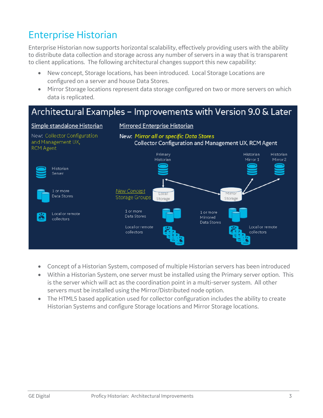## Enterprise Historian

Enterprise Historian now supports horizontal scalability, effectively providing users with the ability to distribute data collection and storage across any number of servers in a way that is transparent to client applications. The following architectural changes support this new capability:

- New concept, Storage locations, has been introduced. Local Storage Locations are configured on a server and house Data Stores.
- Mirror Storage locations represent data storage configured on two or more servers on which data is replicated.

#### Architectural Examples - Improvements with Version 9.0 & Later

#### Simple standalone Historian

#### Mirrored Enterprise Historian



- Concept of a Historian System, composed of multiple Historian servers has been introduced
- Within a Historian System, one server must be installed using the Primary server option. This is the server which will act as the coordination point in a multi-server system. All other servers must be installed using the Mirror/Distributed node option.
- The HTML5 based application used for collector configuration includes the ability to create Historian Systems and configure Storage locations and Mirror Storage locations.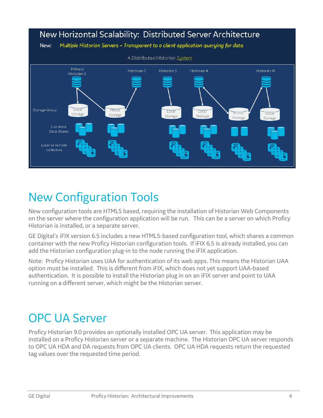

## New Configuration Tools

New configuration tools are HTML5 based, requiring the installation of Historian Web Components on the server where the configuration application will be run. This can be a server on which Proficy Historian is installed, or a separate server.

GE Digital's iFIX version 6.5 includes a new HTML5-based configuration tool, which shares a common container with the new Proficy Historian configuration tools. If iFIX 6.5 is already installed, you can add the Historian configuration plug-in to the node running the iFIX application.

Note: Proficy Historian uses UAA for authentication of its web apps. This means the Historian UAA option must be installed. This is different from iFIX, which does not yet support UAA-based authentication. It is possible to install the Historian plug in on an iFIX server and point to UAA running on a different server, which might be the Historian server.

## OPC UA Server

Proficy Historian 9.0 provides an optionally installed OPC UA server. This application may be installed on a Proficy Historian server or a separate machine. The Historian OPC UA server responds to OPC UA HDA and DA requests from OPC UA clients. OPC UA HDA requests return the requested tag values over the requested time period.